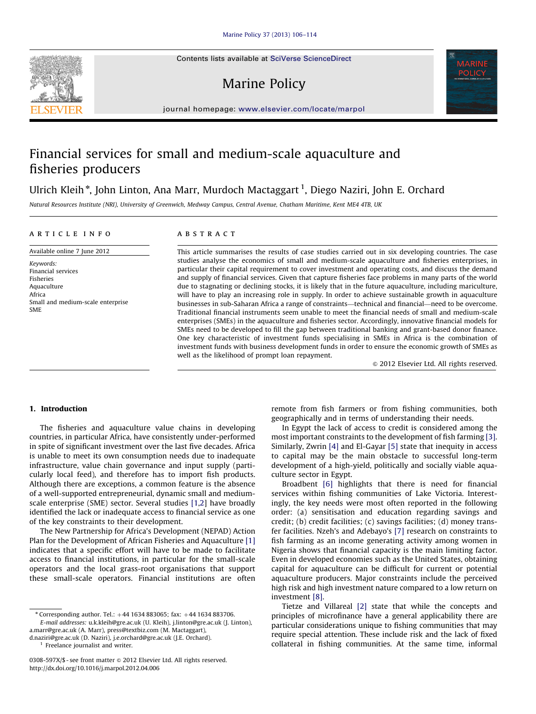Contents lists available at [SciVerse ScienceDirect](www.elsevier.com/locate/marpol)

# Marine Policy



journal homepage: <www.elsevier.com/locate/marpol>

# Financial services for small and medium-scale aquaculture and fisheries producers

# Ulrich Kleih\*, John Linton, Ana Marr, Murdoch Mactaggart <sup>1</sup>, Diego Naziri, John E. Orchard

Natural Resources Institute (NRI), University of Greenwich, Medway Campus, Central Avenue, Chatham Maritime, Kent ME4 4TB, UK

# article info Available online 7 June 2012

Small and medium-scale enterprise

Keywords: Financial services Fisheries Aquaculture Africa

SME

# **ABSTRACT**

This article summarises the results of case studies carried out in six developing countries. The case studies analyse the economics of small and medium-scale aquaculture and fisheries enterprises, in particular their capital requirement to cover investment and operating costs, and discuss the demand and supply of financial services. Given that capture fisheries face problems in many parts of the world due to stagnating or declining stocks, it is likely that in the future aquaculture, including mariculture, will have to play an increasing role in supply. In order to achieve sustainable growth in aquaculture businesses in sub-Saharan Africa a range of constraints—technical and financial—need to be overcome. Traditional financial instruments seem unable to meet the financial needs of small and medium-scale enterprises (SMEs) in the aquaculture and fisheries sector. Accordingly, innovative financial models for SMEs need to be developed to fill the gap between traditional banking and grant-based donor finance. One key characteristic of investment funds specialising in SMEs in Africa is the combination of investment funds with business development funds in order to ensure the economic growth of SMEs as well as the likelihood of prompt loan repayment.

 $©$  2012 Elsevier Ltd. All rights reserved.

#### 1. Introduction

The fisheries and aquaculture value chains in developing countries, in particular Africa, have consistently under-performed in spite of significant investment over the last five decades. Africa is unable to meet its own consumption needs due to inadequate infrastructure, value chain governance and input supply (particularly local feed), and therefore has to import fish products. Although there are exceptions, a common feature is the absence of a well-supported entrepreneurial, dynamic small and mediumscale enterprise (SME) sector. Several studies [\[1,2](#page-7-0)] have broadly identified the lack or inadequate access to financial service as one of the key constraints to their development.

The New Partnership for Africa's Development (NEPAD) Action Plan for the Development of African Fisheries and Aquaculture [\[1\]](#page-7-0) indicates that a specific effort will have to be made to facilitate access to financial institutions, in particular for the small-scale operators and the local grass-root organisations that support these small-scale operators. Financial institutions are often

[d.naziri@gre.ac.uk \(D. Naziri\)](mailto:d.naziri@gre.ac.uk), [j.e.orchard@gre.ac.uk \(J.E. Orchard\).](mailto:j.e.orchard@gre.ac.uk)

<sup>1</sup> Freelance journalist and writer.

remote from fish farmers or from fishing communities, both geographically and in terms of understanding their needs.

In Egypt the lack of access to credit is considered among the most important constraints to the development of fish farming [\[3\].](#page-7-0) Similarly, Zwrin [\[4\]](#page-7-0) and El-Gayar [\[5\]](#page-7-0) state that inequity in access to capital may be the main obstacle to successful long-term development of a high-yield, politically and socially viable aquaculture sector in Egypt.

Broadbent [\[6\]](#page-7-0) highlights that there is need for financial services within fishing communities of Lake Victoria. Interestingly, the key needs were most often reported in the following order: (a) sensitisation and education regarding savings and credit; (b) credit facilities; (c) savings facilities; (d) money transfer facilities. Nzeh's and Adebayo's [\[7\]](#page-7-0) research on constraints to fish farming as an income generating activity among women in Nigeria shows that financial capacity is the main limiting factor. Even in developed economies such as the United States, obtaining capital for aquaculture can be difficult for current or potential aquaculture producers. Major constraints include the perceived high risk and high investment nature compared to a low return on investment [\[8\].](#page-7-0)

Tietze and Villareal [\[2\]](#page-7-0) state that while the concepts and principles of microfinance have a general applicability there are particular considerations unique to fishing communities that may require special attention. These include risk and the lack of fixed collateral in fishing communities. At the same time, informal



 $*$  Corresponding author. Tel.:  $+44$  1634 883065; fax:  $+44$  1634 883706. E-mail addresses: [u.k.kleih@gre.ac.uk \(U. Kleih\)](mailto:u.k.kleih@gre.ac.uk), [j.linton@gre.ac.uk \(J. Linton\),](mailto:j.linton@gre.ac.uk) [a.marr@gre.ac.uk \(A. Marr\)](mailto:a.marr@gre.ac.uk), [press@textbiz.com \(M. Mactaggart\)](mailto:press@textbiz.com),

<sup>0308-597</sup>X/\$ - see front matter  $\circ$  2012 Elsevier Ltd. All rights reserved. [http://dx.doi.org/10.1016/j.marpol.2012.04.006](dx.doi.org/10.1016/j.marpol.2012.04.006)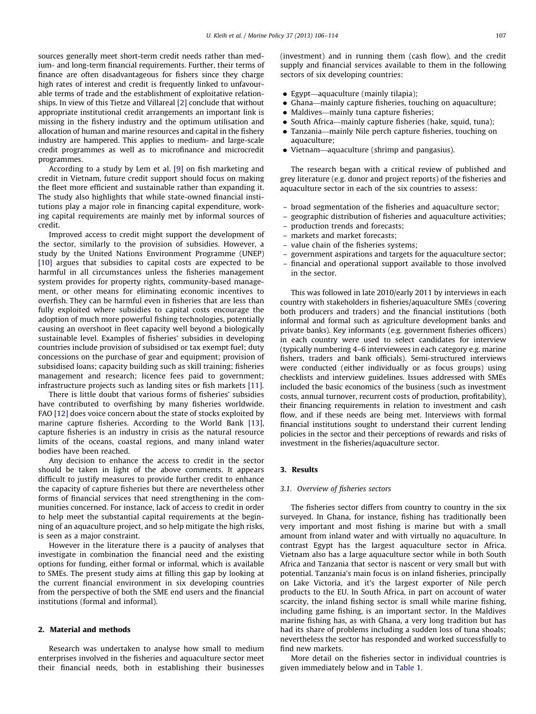sources generally meet short-term credit needs rather than medium- and long-term financial requirements. Further, their terms of finance are often disadvantageous for fishers since they charge high rates of interest and credit is frequently linked to unfavourable terms of trade and the establishment of exploitative relationships. In view of this Tietze and Villareal [\[2\]](#page-7-0) conclude that without appropriate institutional credit arrangements an important link is missing in the fishery industry and the optimum utilisation and allocation of human and marine resources and capital in the fishery industry are hampered. This applies to medium- and large-scale credit programmes as well as to microfinance and microcredit programmes.

According to a study by Lem et al. [\[9\]](#page-7-0) on fish marketing and credit in Vietnam, future credit support should focus on making the fleet more efficient and sustainable rather than expanding it. The study also highlights that while state-owned financial institutions play a major role in financing capital expenditure, working capital requirements are mainly met by informal sources of credit.

Improved access to credit might support the development of the sector, similarly to the provision of subsidies. However, a study by the United Nations Environment Programme (UNEP) [\[10\]](#page-7-0) argues that subsidies to capital costs are expected to be harmful in all circumstances unless the fisheries management system provides for property rights, community-based management, or other means for eliminating economic incentives to overfish. They can be harmful even in fisheries that are less than fully exploited where subsidies to capital costs encourage the adoption of much more powerful fishing technologies, potentially causing an overshoot in fleet capacity well beyond a biologically sustainable level. Examples of fisheries' subsidies in developing countries include provision of subsidised or tax exempt fuel; duty concessions on the purchase of gear and equipment; provision of subsidised loans; capacity building such as skill training; fisheries management and research; licence fees paid to government; infrastructure projects such as landing sites or fish markets [\[11\]](#page-7-0).

There is little doubt that various forms of fisheries' subsidies have contributed to overfishing by many fisheries worldwide. FAO [\[12\]](#page-7-0) does voice concern about the state of stocks exploited by marine capture fisheries. According to the World Bank [\[13\],](#page-7-0) capture fisheries is an industry in crisis as the natural resource limits of the oceans, coastal regions, and many inland water bodies have been reached.

Any decision to enhance the access to credit in the sector should be taken in light of the above comments. It appears difficult to justify measures to provide further credit to enhance the capacity of capture fisheries but there are nevertheless other forms of financial services that need strengthening in the communities concerned. For instance, lack of access to credit in order to help meet the substantial capital requirements at the beginning of an aquaculture project, and so help mitigate the high risks, is seen as a major constraint.

However in the literature there is a paucity of analyses that investigate in combination the financial need and the existing options for funding, either formal or informal, which is available to SMEs. The present study aims at filling this gap by looking at the current financial environment in six developing countries from the perspective of both the SME end users and the financial institutions (formal and informal).

#### 2. Material and methods

Research was undertaken to analyse how small to medium enterprises involved in the fisheries and aquaculture sector meet their financial needs, both in establishing their businesses

(investment) and in running them (cash flow), and the credit supply and financial services available to them in the following sectors of six developing countries:

- Egypt—aquaculture (mainly tilapia);
- Ghana—mainly capture fisheries, touching on aquaculture;
- $\bullet$  Maldives—mainly tuna capture fisheries;
- South Africa—mainly capture fisheries (hake, squid, tuna);
- $\bullet$  Tanzania—mainly Nile perch capture fisheries, touching on aquaculture;
- Vietnam—aquaculture (shrimp and pangasius).

The research began with a critical review of published and grey literature (e.g. donor and project reports) of the fisheries and aquaculture sector in each of the six countries to assess:

- broad segmentation of the fisheries and aquaculture sector;
- geographic distribution of fisheries and aquaculture activities;
- production trends and forecasts;
- markets and market forecasts;
- value chain of the fisheries systems;
- government aspirations and targets for the aquaculture sector;
- financial and operational support available to those involved in the sector.

This was followed in late 2010/early 2011 by interviews in each country with stakeholders in fisheries/aquaculture SMEs (covering both producers and traders) and the financial institutions (both informal and formal such as agriculture development banks and private banks). Key informants (e.g. government fisheries officers) in each country were used to select candidates for interview (typically numbering 4–6 interviewees in each category e.g. marine fishers, traders and bank officials). Semi-structured interviews were conducted (either individually or as focus groups) using checklists and interview guidelines. Issues addressed with SMEs included the basic economics of the business (such as investment costs, annual turnover, recurrent costs of production, profitability), their financing requirements in relation to investment and cash flow, and if these needs are being met. Interviews with formal financial institutions sought to understand their current lending policies in the sector and their perceptions of rewards and risks of investment in the fisheries/aquaculture sector.

#### 3. Results

#### 3.1. Overview of fisheries sectors

The fisheries sector differs from country to country in the six surveyed. In Ghana, for instance, fishing has traditionally been very important and most fishing is marine but with a small amount from inland water and with virtually no aquaculture. In contrast Egypt has the largest aquaculture sector in Africa. Vietnam also has a large aquaculture sector while in both South Africa and Tanzania that sector is nascent or very small but with potential. Tanzania's main focus is on inland fisheries, principally on Lake Victoria, and it's the largest exporter of Nile perch products to the EU. In South Africa, in part on account of water scarcity, the inland fishing sector is small while marine fishing, including game fishing, is an important sector. In the Maldives marine fishing has, as with Ghana, a very long tradition but has had its share of problems including a sudden loss of tuna shoals; nevertheless the sector has responded and worked successfully to find new markets.

More detail on the fisheries sector in individual countries is given immediately below and in [Table 1.](#page-2-0)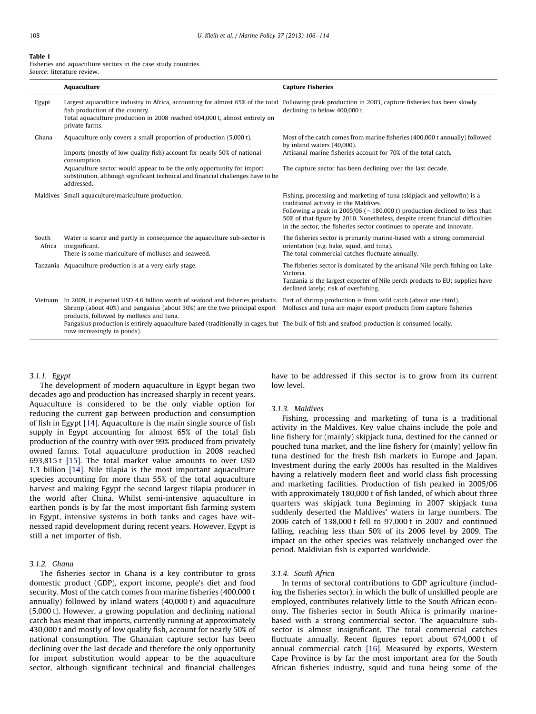#### <span id="page-2-0"></span>Table 1

Fisheries and aquaculture sectors in the case study countries. Source: literature review.

|                 | Aquaculture                                                                                                                                                                                                                                                                                                                                                                           | <b>Capture Fisheries</b>                                                                                                                                                                                                                                                                                                                                         |
|-----------------|---------------------------------------------------------------------------------------------------------------------------------------------------------------------------------------------------------------------------------------------------------------------------------------------------------------------------------------------------------------------------------------|------------------------------------------------------------------------------------------------------------------------------------------------------------------------------------------------------------------------------------------------------------------------------------------------------------------------------------------------------------------|
| Egypt           | Largest aquaculture industry in Africa, accounting for almost 65% of the total Following peak production in 2003, capture fisheries has been slowly<br>fish production of the country.<br>Total aquaculture production in 2008 reached 694,000 t, almost entirely on<br>private farms.                                                                                                | declining to below 400,000 t.                                                                                                                                                                                                                                                                                                                                    |
| Ghana           | Aquaculture only covers a small proportion of production (5,000 t).                                                                                                                                                                                                                                                                                                                   | Most of the catch comes from marine fisheries (400,000 t annually) followed<br>by inland waters (40,000).                                                                                                                                                                                                                                                        |
|                 | Imports (mostly of low quality fish) account for nearly 50% of national<br>consumption.                                                                                                                                                                                                                                                                                               | Artisanal marine fisheries account for 70% of the total catch.                                                                                                                                                                                                                                                                                                   |
|                 | Aquaculture sector would appear to be the only opportunity for import<br>substitution, although significant technical and financial challenges have to be<br>addressed.                                                                                                                                                                                                               | The capture sector has been declining over the last decade.                                                                                                                                                                                                                                                                                                      |
|                 | Maldives Small aquaculture/mariculture production.                                                                                                                                                                                                                                                                                                                                    | Fishing, processing and marketing of tuna (skipjack and yellowfin) is a<br>traditional activity in the Maldives.<br>Following a peak in 2005/06 ( $\sim$ 180,000 t) production declined to less than<br>50% of that figure by 2010. Nonetheless, despite recent financial difficulties<br>in the sector, the fisheries sector continues to operate and innovate. |
| South<br>Africa | Water is scarce and partly in consequence the aquaculture sub-sector is<br>insignificant.<br>There is some mariculture of molluscs and seaweed.                                                                                                                                                                                                                                       | The fisheries sector is primarily marine-based with a strong commercial<br>orientation (e.g. hake, squid, and tuna).<br>The total commercial catches fluctuate annually.                                                                                                                                                                                         |
|                 | Tanzania Aquaculture production is at a very early stage.                                                                                                                                                                                                                                                                                                                             | The fisheries sector is dominated by the artisanal Nile perch fishing on Lake<br>Victoria.<br>Tanzania is the largest exporter of Nile perch products to EU; supplies have<br>declined lately; risk of overfishing.                                                                                                                                              |
| Vietnam         | In 2009, it exported USD 4.6 billion worth of seafood and fisheries products.<br>Shrimp (about 40%) and pangasius (about 30%) are the two principal export<br>products, followed by molluscs and tuna.<br>Pangasius production is entirely aquaculture based (traditionally in cages, but The bulk of fish and seafood production is consumed locally.<br>now increasingly in ponds). | Part of shrimp production is from wild catch (about one third).<br>Molluscs and tuna are major export products from capture fisheries                                                                                                                                                                                                                            |

# 3.1.1. Egypt

The development of modern aquaculture in Egypt began two decades ago and production has increased sharply in recent years. Aquaculture is considered to be the only viable option for reducing the current gap between production and consumption of fish in Egypt [\[14\].](#page-8-0) Aquaculture is the main single source of fish supply in Egypt accounting for almost 65% of the total fish production of the country with over 99% produced from privately owned farms. Total aquaculture production in 2008 reached 693,815 t [\[15\]](#page-8-0). The total market value amounts to over USD 1.3 billion [\[14\]](#page-8-0). Nile tilapia is the most important aquaculture species accounting for more than 55% of the total aquaculture harvest and making Egypt the second largest tilapia producer in the world after China. Whilst semi-intensive aquaculture in earthen ponds is by far the most important fish farming system in Egypt, intensive systems in both tanks and cages have witnessed rapid development during recent years. However, Egypt is still a net importer of fish.

### 3.1.2. Ghana

The fisheries sector in Ghana is a key contributor to gross domestic product (GDP), export income, people's diet and food security. Most of the catch comes from marine fisheries (400,000 t annually) followed by inland waters (40,000 t) and aquaculture (5,000 t). However, a growing population and declining national catch has meant that imports, currently running at approximately 430,000 t and mostly of low quality fish, account for nearly 50% of national consumption. The Ghanaian capture sector has been declining over the last decade and therefore the only opportunity for import substitution would appear to be the aquaculture sector, although significant technical and financial challenges

have to be addressed if this sector is to grow from its current low level.

#### 3.1.3. Maldives

Fishing, processing and marketing of tuna is a traditional activity in the Maldives. Key value chains include the pole and line fishery for (mainly) skipjack tuna, destined for the canned or pouched tuna market, and the line fishery for (mainly) yellow fin tuna destined for the fresh fish markets in Europe and Japan. Investment during the early 2000s has resulted in the Maldives having a relatively modern fleet and world class fish processing and marketing facilities. Production of fish peaked in 2005/06 with approximately 180,000 t of fish landed, of which about three quarters was skipjack tuna Beginning in 2007 skipjack tuna suddenly deserted the Maldives' waters in large numbers. The 2006 catch of 138,000 t fell to 97,000 t in 2007 and continued falling, reaching less than 50% of its 2006 level by 2009. The impact on the other species was relatively unchanged over the period. Maldivian fish is exported worldwide.

#### 3.1.4. South Africa

In terms of sectoral contributions to GDP agriculture (including the fisheries sector), in which the bulk of unskilled people are employed, contributes relatively little to the South African economy. The fisheries sector in South Africa is primarily marinebased with a strong commercial sector. The aquaculture subsector is almost insignificant. The total commercial catches fluctuate annually. Recent figures report about 674,000 t of annual commercial catch [\[16\]](#page-8-0). Measured by exports, Western Cape Province is by far the most important area for the South African fisheries industry, squid and tuna being some of the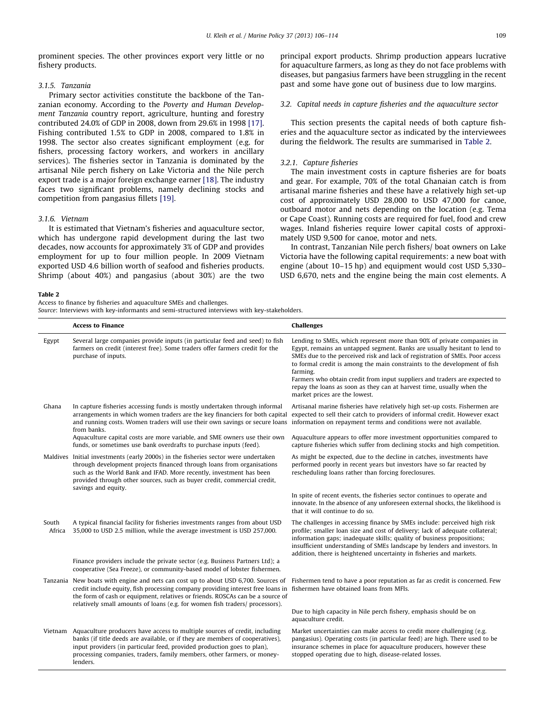<span id="page-3-0"></span>prominent species. The other provinces export very little or no fishery products.

## 3.1.5. Tanzania

Primary sector activities constitute the backbone of the Tanzanian economy. According to the Poverty and Human Development Tanzania country report, agriculture, hunting and forestry contributed 24.0% of GDP in 2008, down from 29.6% in 1998 [\[17\].](#page-8-0) Fishing contributed 1.5% to GDP in 2008, compared to 1.8% in 1998. The sector also creates significant employment (e.g. for fishers, processing factory workers, and workers in ancillary services). The fisheries sector in Tanzania is dominated by the artisanal Nile perch fishery on Lake Victoria and the Nile perch export trade is a major foreign exchange earner [\[18\]](#page-8-0). The industry faces two significant problems, namely declining stocks and competition from pangasius fillets [\[19\]](#page-8-0).

# 3.1.6. Vietnam

It is estimated that Vietnam's fisheries and aquaculture sector, which has undergone rapid development during the last two decades, now accounts for approximately 3% of GDP and provides employment for up to four million people. In 2009 Vietnam exported USD 4.6 billion worth of seafood and fisheries products. Shrimp (about 40%) and pangasius (about 30%) are the two

#### Table 2

Access to finance by fisheries and aquaculture SMEs and challenges.

Source: Interviews with key-informants and semi-structured interviews with key-stakeholders.

principal export products. Shrimp production appears lucrative for aquaculture farmers, as long as they do not face problems with diseases, but pangasius farmers have been struggling in the recent past and some have gone out of business due to low margins.

#### 3.2. Capital needs in capture fisheries and the aquaculture sector

This section presents the capital needs of both capture fisheries and the aquaculture sector as indicated by the interviewees during the fieldwork. The results are summarised in Table 2.

#### 3.2.1. Capture fisheries

The main investment costs in capture fisheries are for boats and gear. For example, 70% of the total Ghanaian catch is from artisanal marine fisheries and these have a relatively high set-up cost of approximately USD 28,000 to USD 47,000 for canoe, outboard motor and nets depending on the location (e.g. Tema or Cape Coast). Running costs are required for fuel, food and crew wages. Inland fisheries require lower capital costs of approximately USD 9,500 for canoe, motor and nets.

In contrast, Tanzanian Nile perch fishers/ boat owners on Lake Victoria have the following capital requirements: a new boat with engine (about 10–15 hp) and equipment would cost USD 5,330– USD 6,670, nets and the engine being the main cost elements. A

|                 | <b>Access to Finance</b>                                                                                                                                                                                                                                                                                                                | <b>Challenges</b>                                                                                                                                                                                                                                                                                                                                                                                                                                                                                                    |
|-----------------|-----------------------------------------------------------------------------------------------------------------------------------------------------------------------------------------------------------------------------------------------------------------------------------------------------------------------------------------|----------------------------------------------------------------------------------------------------------------------------------------------------------------------------------------------------------------------------------------------------------------------------------------------------------------------------------------------------------------------------------------------------------------------------------------------------------------------------------------------------------------------|
| Egypt           | Several large companies provide inputs (in particular feed and seed) to fish<br>farmers on credit (interest free). Some traders offer farmers credit for the<br>purchase of inputs.                                                                                                                                                     | Lending to SMEs, which represent more than 90% of private companies in<br>Egypt, remains an untapped segment. Banks are usually hesitant to lend to<br>SMEs due to the perceived risk and lack of registration of SMEs. Poor access<br>to formal credit is among the main constraints to the development of fish<br>farming.<br>Farmers who obtain credit from input suppliers and traders are expected to<br>repay the loans as soon as they can at harvest time, usually when the<br>market prices are the lowest. |
| Ghana           | In capture fisheries accessing funds is mostly undertaken through informal<br>arrangements in which women traders are the key financiers for both capital<br>and running costs. Women traders will use their own savings or secure loans<br>from banks.                                                                                 | Artisanal marine fisheries have relatively high set-up costs. Fishermen are<br>expected to sell their catch to providers of informal credit. However exact<br>information on repayment terms and conditions were not available.                                                                                                                                                                                                                                                                                      |
|                 | Aquaculture capital costs are more variable, and SME owners use their own<br>funds, or sometimes use bank overdrafts to purchase inputs (feed).                                                                                                                                                                                         | Aquaculture appears to offer more investment opportunities compared to<br>capture fisheries which suffer from declining stocks and high competition.                                                                                                                                                                                                                                                                                                                                                                 |
|                 | Maldives Initial investments (early 2000s) in the fisheries sector were undertaken<br>through development projects financed through loans from organisations<br>such as the World Bank and IFAD. More recently, investment has been<br>provided through other sources, such as buyer credit, commercial credit,<br>savings and equity.  | As might be expected, due to the decline in catches, investments have<br>performed poorly in recent years but investors have so far reacted by<br>rescheduling loans rather than forcing foreclosures.                                                                                                                                                                                                                                                                                                               |
|                 |                                                                                                                                                                                                                                                                                                                                         | In spite of recent events, the fisheries sector continues to operate and<br>innovate. In the absence of any unforeseen external shocks, the likelihood is<br>that it will continue to do so.                                                                                                                                                                                                                                                                                                                         |
| South<br>Africa | A typical financial facility for fisheries investments ranges from about USD<br>35,000 to USD 2.5 million, while the average investment is USD 257,000.                                                                                                                                                                                 | The challenges in accessing finance by SMEs include: perceived high risk<br>profile; smaller loan size and cost of delivery; lack of adequate collateral;<br>information gaps; inadequate skills; quality of business propositions;<br>insufficient understanding of SMEs landscape by lenders and investors. In<br>addition, there is heightened uncertainty in fisheries and markets.                                                                                                                              |
|                 | Finance providers include the private sector (e.g. Business Partners Ltd); a<br>cooperative (Sea Freeze), or community-based model of lobster fishermen.                                                                                                                                                                                |                                                                                                                                                                                                                                                                                                                                                                                                                                                                                                                      |
|                 | Tanzania New boats with engine and nets can cost up to about USD 6,700. Sources of<br>credit include equity, fish processing company providing interest free loans in<br>the form of cash or equipment, relatives or friends. ROSCAs can be a source of<br>relatively small amounts of loans (e.g. for women fish traders/ processors). | Fishermen tend to have a poor reputation as far as credit is concerned. Few<br>fishermen have obtained loans from MFIs.                                                                                                                                                                                                                                                                                                                                                                                              |
|                 |                                                                                                                                                                                                                                                                                                                                         | Due to high capacity in Nile perch fishery, emphasis should be on<br>aquaculture credit.                                                                                                                                                                                                                                                                                                                                                                                                                             |
| Vietnam         | Aquaculture producers have access to multiple sources of credit, including<br>banks (if title deeds are available, or if they are members of cooperatives),<br>input providers (in particular feed, provided production goes to plan),<br>processing companies, traders, family members, other farmers, or money-<br>lenders.           | Market uncertainties can make access to credit more challenging (e.g.<br>pangasius). Operating costs (in particular feed) are high. There used to be<br>insurance schemes in place for aquaculture producers, however these<br>stopped operating due to high, disease-related losses.                                                                                                                                                                                                                                |
|                 |                                                                                                                                                                                                                                                                                                                                         |                                                                                                                                                                                                                                                                                                                                                                                                                                                                                                                      |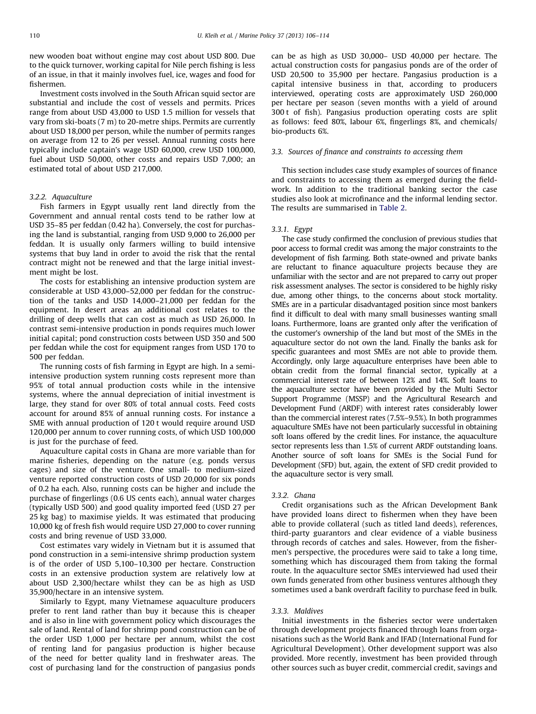new wooden boat without engine may cost about USD 800. Due to the quick turnover, working capital for Nile perch fishing is less of an issue, in that it mainly involves fuel, ice, wages and food for fishermen.

Investment costs involved in the South African squid sector are substantial and include the cost of vessels and permits. Prices range from about USD 43,000 to USD 1.5 million for vessels that vary from ski-boats (7 m) to 20-metre ships. Permits are currently about USD 18,000 per person, while the number of permits ranges on average from 12 to 26 per vessel. Annual running costs here typically include captain's wage USD 60,000, crew USD 100,000, fuel about USD 50,000, other costs and repairs USD 7,000; an estimated total of about USD 217,000.

## 3.2.2. Aquaculture

Fish farmers in Egypt usually rent land directly from the Government and annual rental costs tend to be rather low at USD 35–85 per feddan (0.42 ha). Conversely, the cost for purchasing the land is substantial, ranging from USD 9,000 to 26,000 per feddan. It is usually only farmers willing to build intensive systems that buy land in order to avoid the risk that the rental contract might not be renewed and that the large initial investment might be lost.

The costs for establishing an intensive production system are considerable at USD 43,000–52,000 per feddan for the construction of the tanks and USD 14,000–21,000 per feddan for the equipment. In desert areas an additional cost relates to the drilling of deep wells that can cost as much as USD 26,000. In contrast semi-intensive production in ponds requires much lower initial capital; pond construction costs between USD 350 and 500 per feddan while the cost for equipment ranges from USD 170 to 500 per feddan.

The running costs of fish farming in Egypt are high. In a semiintensive production system running costs represent more than 95% of total annual production costs while in the intensive systems, where the annual depreciation of initial investment is large, they stand for over 80% of total annual costs. Feed costs account for around 85% of annual running costs. For instance a SME with annual production of 120 t would require around USD 120,000 per annum to cover running costs, of which USD 100,000 is just for the purchase of feed.

Aquaculture capital costs in Ghana are more variable than for marine fisheries, depending on the nature (e.g. ponds versus cages) and size of the venture. One small- to medium-sized venture reported construction costs of USD 20,000 for six ponds of 0.2 ha each. Also, running costs can be higher and include the purchase of fingerlings (0.6 US cents each), annual water charges (typically USD 500) and good quality imported feed (USD 27 per 25 kg bag) to maximise yields. It was estimated that producing 10,000 kg of fresh fish would require USD 27,000 to cover running costs and bring revenue of USD 33,000.

Cost estimates vary widely in Vietnam but it is assumed that pond construction in a semi-intensive shrimp production system is of the order of USD 5,100–10,300 per hectare. Construction costs in an extensive production system are relatively low at about USD 2,300/hectare whilst they can be as high as USD 35,900/hectare in an intensive system.

Similarly to Egypt, many Vietnamese aquaculture producers prefer to rent land rather than buy it because this is cheaper and is also in line with government policy which discourages the sale of land. Rental of land for shrimp pond construction can be of the order USD 1,000 per hectare per annum, whilst the cost of renting land for pangasius production is higher because of the need for better quality land in freshwater areas. The cost of purchasing land for the construction of pangasius ponds can be as high as USD 30,000– USD 40,000 per hectare. The actual construction costs for pangasius ponds are of the order of USD 20,500 to 35,900 per hectare. Pangasius production is a capital intensive business in that, according to producers interviewed, operating costs are approximately USD 260,000 per hectare per season (seven months with a yield of around 300 t of fish). Pangasius production operating costs are split as follows: feed 80%, labour 6%, fingerlings 8%, and chemicals/ bio-products 6%.

#### 3.3. Sources of finance and constraints to accessing them

This section includes case study examples of sources of finance and constraints to accessing them as emerged during the fieldwork. In addition to the traditional banking sector the case studies also look at microfinance and the informal lending sector. The results are summarised in [Table 2](#page-3-0).

#### 3.3.1. Egypt

The case study confirmed the conclusion of previous studies that poor access to formal credit was among the major constraints to the development of fish farming. Both state-owned and private banks are reluctant to finance aquaculture projects because they are unfamiliar with the sector and are not prepared to carry out proper risk assessment analyses. The sector is considered to be highly risky due, among other things, to the concerns about stock mortality. SMEs are in a particular disadvantaged position since most bankers find it difficult to deal with many small businesses wanting small loans. Furthermore, loans are granted only after the verification of the customer's ownership of the land but most of the SMEs in the aquaculture sector do not own the land. Finally the banks ask for specific guarantees and most SMEs are not able to provide them. Accordingly, only large aquaculture enterprises have been able to obtain credit from the formal financial sector, typically at a commercial interest rate of between 12% and 14%. Soft loans to the aquaculture sector have been provided by the Multi Sector Support Programme (MSSP) and the Agricultural Research and Development Fund (ARDF) with interest rates considerably lower than the commercial interest rates (7.5%–9.5%). In both programmes aquaculture SMEs have not been particularly successful in obtaining soft loans offered by the credit lines. For instance, the aquaculture sector represents less than 1.5% of current ARDF outstanding loans. Another source of soft loans for SMEs is the Social Fund for Development (SFD) but, again, the extent of SFD credit provided to the aquaculture sector is very small.

#### 3.3.2. Ghana

Credit organisations such as the African Development Bank have provided loans direct to fishermen when they have been able to provide collateral (such as titled land deeds), references, third-party guarantors and clear evidence of a viable business through records of catches and sales. However, from the fishermen's perspective, the procedures were said to take a long time, something which has discouraged them from taking the formal route. In the aquaculture sector SMEs interviewed had used their own funds generated from other business ventures although they sometimes used a bank overdraft facility to purchase feed in bulk.

#### 3.3.3. Maldives

Initial investments in the fisheries sector were undertaken through development projects financed through loans from organisations such as the World Bank and IFAD (International Fund for Agricultural Development). Other development support was also provided. More recently, investment has been provided through other sources such as buyer credit, commercial credit, savings and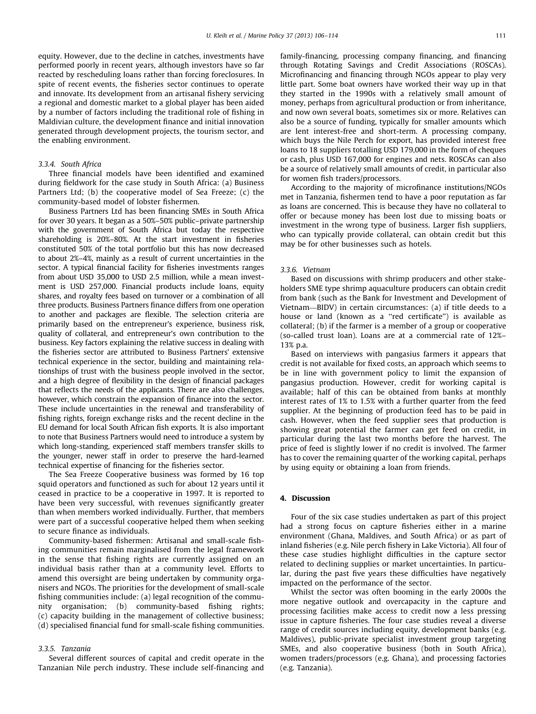equity. However, due to the decline in catches, investments have performed poorly in recent years, although investors have so far reacted by rescheduling loans rather than forcing foreclosures. In spite of recent events, the fisheries sector continues to operate and innovate. Its development from an artisanal fishery servicing a regional and domestic market to a global player has been aided by a number of factors including the traditional role of fishing in Maldivian culture, the development finance and initial innovation generated through development projects, the tourism sector, and the enabling environment.

#### 3.3.4. South Africa

Three financial models have been identified and examined during fieldwork for the case study in South Africa: (a) Business Partners Ltd; (b) the cooperative model of Sea Freeze; (c) the community-based model of lobster fishermen.

Business Partners Ltd has been financing SMEs in South Africa for over 30 years. It began as a 50%–50% public–private partnership with the government of South Africa but today the respective shareholding is 20%–80%. At the start investment in fisheries constituted 50% of the total portfolio but this has now decreased to about 2%–4%, mainly as a result of current uncertainties in the sector. A typical financial facility for fisheries investments ranges from about USD 35,000 to USD 2.5 million, while a mean investment is USD 257,000. Financial products include loans, equity shares, and royalty fees based on turnover or a combination of all three products. Business Partners finance differs from one operation to another and packages are flexible. The selection criteria are primarily based on the entrepreneur's experience, business risk, quality of collateral, and entrepreneur's own contribution to the business. Key factors explaining the relative success in dealing with the fisheries sector are attributed to Business Partners' extensive technical experience in the sector, building and maintaining relationships of trust with the business people involved in the sector, and a high degree of flexibility in the design of financial packages that reflects the needs of the applicants. There are also challenges, however, which constrain the expansion of finance into the sector. These include uncertainties in the renewal and transferability of fishing rights, foreign exchange risks and the recent decline in the EU demand for local South African fish exports. It is also important to note that Business Partners would need to introduce a system by which long-standing, experienced staff members transfer skills to the younger, newer staff in order to preserve the hard-learned technical expertise of financing for the fisheries sector.

The Sea Freeze Cooperative business was formed by 16 top squid operators and functioned as such for about 12 years until it ceased in practice to be a cooperative in 1997. It is reported to have been very successful, with revenues significantly greater than when members worked individually. Further, that members were part of a successful cooperative helped them when seeking to secure finance as individuals.

Community-based fishermen: Artisanal and small-scale fishing communities remain marginalised from the legal framework in the sense that fishing rights are currently assigned on an individual basis rather than at a community level. Efforts to amend this oversight are being undertaken by community organisers and NGOs. The priorities for the development of small-scale fishing communities include: (a) legal recognition of the community organisation; (b) community-based fishing rights; (c) capacity building in the management of collective business; (d) specialised financial fund for small-scale fishing communities.

#### 3.3.5. Tanzania

Several different sources of capital and credit operate in the Tanzanian Nile perch industry. These include self-financing and family-financing, processing company financing, and financing through Rotating Savings and Credit Associations (ROSCAs). Microfinancing and financing through NGOs appear to play very little part. Some boat owners have worked their way up in that they started in the 1990s with a relatively small amount of money, perhaps from agricultural production or from inheritance, and now own several boats, sometimes six or more. Relatives can also be a source of funding, typically for smaller amounts which are lent interest-free and short-term. A processing company, which buys the Nile Perch for export, has provided interest free loans to 18 suppliers totalling USD 179,000 in the form of cheques or cash, plus USD 167,000 for engines and nets. ROSCAs can also be a source of relatively small amounts of credit, in particular also for women fish traders/processors.

According to the majority of microfinance institutions/NGOs met in Tanzania, fishermen tend to have a poor reputation as far as loans are concerned. This is because they have no collateral to offer or because money has been lost due to missing boats or investment in the wrong type of business. Larger fish suppliers, who can typically provide collateral, can obtain credit but this may be for other businesses such as hotels.

#### 3.3.6. Vietnam

Based on discussions with shrimp producers and other stakeholders SME type shrimp aquaculture producers can obtain credit from bank (such as the Bank for Investment and Development of Vietnam—BIDV) in certain circumstances: (a) if title deeds to a house or land (known as a ''red certificate'') is available as collateral; (b) if the farmer is a member of a group or cooperative (so-called trust loan). Loans are at a commercial rate of 12%– 13% p.a.

Based on interviews with pangasius farmers it appears that credit is not available for fixed costs, an approach which seems to be in line with government policy to limit the expansion of pangasius production. However, credit for working capital is available; half of this can be obtained from banks at monthly interest rates of 1% to 1.5% with a further quarter from the feed supplier. At the beginning of production feed has to be paid in cash. However, when the feed supplier sees that production is showing great potential the farmer can get feed on credit, in particular during the last two months before the harvest. The price of feed is slightly lower if no credit is involved. The farmer has to cover the remaining quarter of the working capital, perhaps by using equity or obtaining a loan from friends.

#### 4. Discussion

Four of the six case studies undertaken as part of this project had a strong focus on capture fisheries either in a marine environment (Ghana, Maldives, and South Africa) or as part of inland fisheries (e.g. Nile perch fishery in Lake Victoria). All four of these case studies highlight difficulties in the capture sector related to declining supplies or market uncertainties. In particular, during the past five years these difficulties have negatively impacted on the performance of the sector.

Whilst the sector was often booming in the early 2000s the more negative outlook and overcapacity in the capture and processing facilities make access to credit now a less pressing issue in capture fisheries. The four case studies reveal a diverse range of credit sources including equity, development banks (e.g. Maldives), public-private specialist investment group targeting SMEs, and also cooperative business (both in South Africa), women traders/processors (e.g. Ghana), and processing factories (e.g. Tanzania).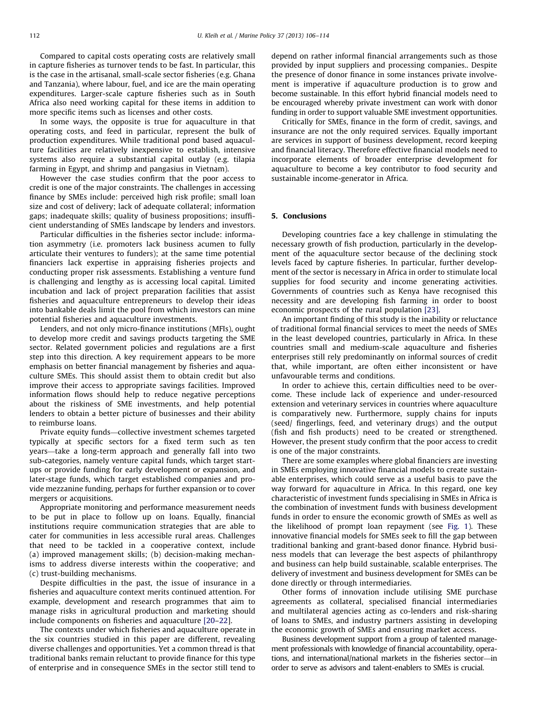Compared to capital costs operating costs are relatively small in capture fisheries as turnover tends to be fast. In particular, this is the case in the artisanal, small-scale sector fisheries (e.g. Ghana and Tanzania), where labour, fuel, and ice are the main operating expenditures. Larger-scale capture fisheries such as in South Africa also need working capital for these items in addition to more specific items such as licenses and other costs.

In some ways, the opposite is true for aquaculture in that operating costs, and feed in particular, represent the bulk of production expenditures. While traditional pond based aquaculture facilities are relatively inexpensive to establish, intensive systems also require a substantial capital outlay (e.g. tilapia farming in Egypt, and shrimp and pangasius in Vietnam).

However the case studies confirm that the poor access to credit is one of the major constraints. The challenges in accessing finance by SMEs include: perceived high risk profile; small loan size and cost of delivery; lack of adequate collateral; information gaps; inadequate skills; quality of business propositions; insufficient understanding of SMEs landscape by lenders and investors.

Particular difficulties in the fisheries sector include: information asymmetry (i.e. promoters lack business acumen to fully articulate their ventures to funders); at the same time potential financiers lack expertise in appraising fisheries projects and conducting proper risk assessments. Establishing a venture fund is challenging and lengthy as is accessing local capital. Limited incubation and lack of project preparation facilities that assist fisheries and aquaculture entrepreneurs to develop their ideas into bankable deals limit the pool from which investors can mine potential fisheries and aquaculture investments.

Lenders, and not only micro-finance institutions (MFIs), ought to develop more credit and savings products targeting the SME sector. Related government policies and regulations are a first step into this direction. A key requirement appears to be more emphasis on better financial management by fisheries and aquaculture SMEs. This should assist them to obtain credit but also improve their access to appropriate savings facilities. Improved information flows should help to reduce negative perceptions about the riskiness of SME investments, and help potential lenders to obtain a better picture of businesses and their ability to reimburse loans.

Private equity funds—collective investment schemes targeted typically at specific sectors for a fixed term such as ten years—take a long-term approach and generally fall into two sub-categories, namely venture capital funds, which target startups or provide funding for early development or expansion, and later-stage funds, which target established companies and provide mezzanine funding, perhaps for further expansion or to cover mergers or acquisitions.

Appropriate monitoring and performance measurement needs to be put in place to follow up on loans. Equally, financial institutions require communication strategies that are able to cater for communities in less accessible rural areas. Challenges that need to be tackled in a cooperative context, include (a) improved management skills; (b) decision-making mechanisms to address diverse interests within the cooperative; and (c) trust-building mechanisms.

Despite difficulties in the past, the issue of insurance in a fisheries and aquaculture context merits continued attention. For example, development and research programmes that aim to manage risks in agricultural production and marketing should include components on fisheries and aquaculture [\[20–22](#page-8-0)].

The contexts under which fisheries and aquaculture operate in the six countries studied in this paper are different, revealing diverse challenges and opportunities. Yet a common thread is that traditional banks remain reluctant to provide finance for this type of enterprise and in consequence SMEs in the sector still tend to depend on rather informal financial arrangements such as those provided by input suppliers and processing companies.. Despite the presence of donor finance in some instances private involvement is imperative if aquaculture production is to grow and become sustainable. In this effort hybrid financial models need to be encouraged whereby private investment can work with donor funding in order to support valuable SME investment opportunities.

Critically for SMEs, finance in the form of credit, savings, and insurance are not the only required services. Equally important are services in support of business development, record keeping and financial literacy. Therefore effective financial models need to incorporate elements of broader enterprise development for aquaculture to become a key contributor to food security and sustainable income-generator in Africa.

#### 5. Conclusions

Developing countries face a key challenge in stimulating the necessary growth of fish production, particularly in the development of the aquaculture sector because of the declining stock levels faced by capture fisheries. In particular, further development of the sector is necessary in Africa in order to stimulate local supplies for food security and income generating activities. Governments of countries such as Kenya have recognised this necessity and are developing fish farming in order to boost economic prospects of the rural population [\[23\]](#page-8-0).

An important finding of this study is the inability or reluctance of traditional formal financial services to meet the needs of SMEs in the least developed countries, particularly in Africa. In these countries small and medium-scale aquaculture and fisheries enterprises still rely predominantly on informal sources of credit that, while important, are often either inconsistent or have unfavourable terms and conditions.

In order to achieve this, certain difficulties need to be overcome. These include lack of experience and under-resourced extension and veterinary services in countries where aquaculture is comparatively new. Furthermore, supply chains for inputs (seed/ fingerlings, feed, and veterinary drugs) and the output (fish and fish products) need to be created or strengthened. However, the present study confirm that the poor access to credit is one of the major constraints.

There are some examples where global financiers are investing in SMEs employing innovative financial models to create sustainable enterprises, which could serve as a useful basis to pave the way forward for aquaculture in Africa. In this regard, one key characteristic of investment funds specialising in SMEs in Africa is the combination of investment funds with business development funds in order to ensure the economic growth of SMEs as well as the likelihood of prompt loan repayment (see [Fig. 1\)](#page-7-0). These innovative financial models for SMEs seek to fill the gap between traditional banking and grant-based donor finance. Hybrid business models that can leverage the best aspects of philanthropy and business can help build sustainable, scalable enterprises. The delivery of investment and business development for SMEs can be done directly or through intermediaries.

Other forms of innovation include utilising SME purchase agreements as collateral, specialised financial intermediaries and multilateral agencies acting as co-lenders and risk-sharing of loans to SMEs, and industry partners assisting in developing the economic growth of SMEs and ensuring market access.

Business development support from a group of talented management professionals with knowledge of financial accountability, operations, and international/national markets in the fisheries sector—in order to serve as advisors and talent-enablers to SMEs is crucial.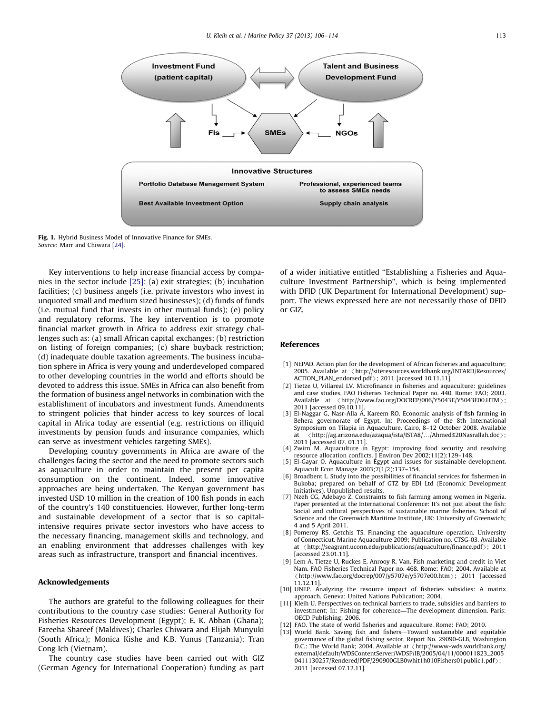<span id="page-7-0"></span>

Fig. 1. Hybrid Business Model of Innovative Finance for SMEs. Source: Marr and Chiwara [\[24\]](#page-8-0).

Key interventions to help increase financial access by companies in the sector include [\[25\]:](#page-8-0) (a) exit strategies; (b) incubation facilities; (c) business angels (i.e. private investors who invest in unquoted small and medium sized businesses); (d) funds of funds (i.e. mutual fund that invests in other mutual funds); (e) policy and regulatory reforms. The key intervention is to promote financial market growth in Africa to address exit strategy challenges such as: (a) small African capital exchanges; (b) restriction on listing of foreign companies; (c) share buyback restriction; (d) inadequate double taxation agreements. The business incubation sphere in Africa is very young and underdeveloped compared to other developing countries in the world and efforts should be devoted to address this issue. SMEs in Africa can also benefit from the formation of business angel networks in combination with the establishment of incubators and investment funds. Amendments to stringent policies that hinder access to key sources of local capital in Africa today are essential (e.g. restrictions on illiquid investments by pension funds and insurance companies, which can serve as investment vehicles targeting SMEs).

Developing country governments in Africa are aware of the challenges facing the sector and the need to promote sectors such as aquaculture in order to maintain the present per capita consumption on the continent. Indeed, some innovative approaches are being undertaken. The Kenyan government has invested USD 10 million in the creation of 100 fish ponds in each of the country's 140 constituencies. However, further long-term and sustainable development of a sector that is so capitalintensive requires private sector investors who have access to the necessary financing, management skills and technology, and an enabling environment that addresses challenges with key areas such as infrastructure, transport and financial incentives.

## Acknowledgements

The authors are grateful to the following colleagues for their contributions to the country case studies: General Authority for Fisheries Resources Development (Egypt); E. K. Abban (Ghana); Fareeha Shareef (Maldives); Charles Chiwara and Elijah Munyuki (South Africa); Monica Kishe and K.B. Yunus (Tanzania); Tran Cong Ich (Vietnam).

The country case studies have been carried out with GIZ (German Agency for International Cooperation) funding as part of a wider initiative entitled ''Establishing a Fisheries and Aquaculture Investment Partnership'', which is being implemented with DFID (UK Department for International Development) support. The views expressed here are not necessarily those of DFID or GIZ.

#### References

- [1] NEPAD. Action plan for the development of African fisheries and aquaculture; 2005. Available at < [http://siteresources.worldbank.org/INTARD/Resources/](http://siteresources.worldbank.org/INTARD/Resources/ACTION_PLAN_endorsed.pdf)  $ACTION\_PLAN\_endorsed.pdf$ ; 2011 [accessed 10.11.11].
- [2] Tietze U, Villareal LV. Microfinance in fisheries and aquaculture: guidelines and case studies. FAO Fisheries Technical Paper no. 440. Rome: FAO; 2003. Available at  $\langle$ <http://www.fao.org/DOCREP/006/Y5043E/Y5043E00.HTM> $\rangle$ ; 2011 [accessed 09.10.11].
- [3] El-Naggar G, Nasr-Alla A, Kareem RO. Economic analysis of fish farming in Behera governorate of Egypt. In: Proceedings of the 8th International Symposium on Tilapia in Aquaculture. Cairo, 8–12 October 2008. Available  $\alpha$ http://ag.arizona.edu/azaqua/ista/ISTA8/.../Ahmed%20Nasrallah.doc $\alpha$ ; 2011 [accessed 07. 01.11].
- [4] Zwirn M. Aquaculture in Egypt: improving food security and resolving resource allocation conflicts. J Environ Dev 2002;11(2):129–148. [5] El-Gayar O. Aquaculture in Egypt and issues for sustainable development.
- Aquacult Econ Manage 2003;7(1/2):137–154.
- [6] Broadbent L. Study into the possibilities of financial services for fishermen in Bukoba; prepared on behalf of GTZ by EDI Ltd (Economic Development Initiatives). Unpublished results.
- [7] Nzeh CG, Adebayo Z. Constraints to fish farming among women in Nigeria. Paper presented at the International Conference: It's not just about the fish: Social and cultural perspectives of sustainable marine fisheries. School of Science and the Greenwich Maritime Institute, UK: University of Greenwich; 4 and 5 April 2011.
- [8] Pomeroy RS, Getchis TS. Financing the aquaculture operation. University of Connecticut. Marine Aquaculture 2009; Publication no. CTSG-03. Available at  $\langle$ <http://seagrant.uconn.edu/publications/aquaculture/finance.pdf> $\rangle$ ; 2011 [accessed 23.01.11].
- [9] Lem A, Tietze U, Ruckes E, Anrooy R. Van. Fish marketing and credit in Viet Nam. FAO Fisheries Technical Paper no. 468. Rome: FAO; 2004. Available at  $\langle$ <http://www.fao.org/docrep/007/y5707e/y5707e00.htm> $\rangle$ ; 2011 [accessed  $(1.12.11)$ .
- [10] UNEP. Analyzing the resource impact of fisheries subsidies: A matrix approach. Geneva: United Nations Publication; 2004.
- [11] Kleih U. Perspectives on technical barriers to trade, subsidies and barriers to investment; In: Fishing for coherence—The development dimension. Paris: OECD Publishing; 2006.
- [12] FAO. The state of world fisheries and aquaculture. Rome: FAO; 2010.
- [13] World Bank. Saving fish and fishers—Toward sustainable and equitable governance of the global fishing sector, Report No. 29090-GLB, Washington D.C.: The World Bank; 2004. Available at  $\langle$  [http://www-wds.worldbank.org/](http://www-wds.worldbank.org/external/default/WDSContentServer/WDSP/IB/2005/04/11/000011823_20050411130257/Rendered/PDF/290900GLB0whit1h010Fishers01public1.pdf) [external/default/WDSContentServer/WDSP/IB/2005/04/11/000011823\\_2005](http://www-wds.worldbank.org/external/default/WDSContentServer/WDSP/IB/2005/04/11/000011823_20050411130257/Rendered/PDF/290900GLB0whit1h010Fishers01public1.pdf) [0411130257/Rendered/PDF/290900GLB0whit1h010Fishers01public1.pdf](http://www-wds.worldbank.org/external/default/WDSContentServer/WDSP/IB/2005/04/11/000011823_20050411130257/Rendered/PDF/290900GLB0whit1h010Fishers01public1.pdf)); 2011 [accessed 07.12.11].